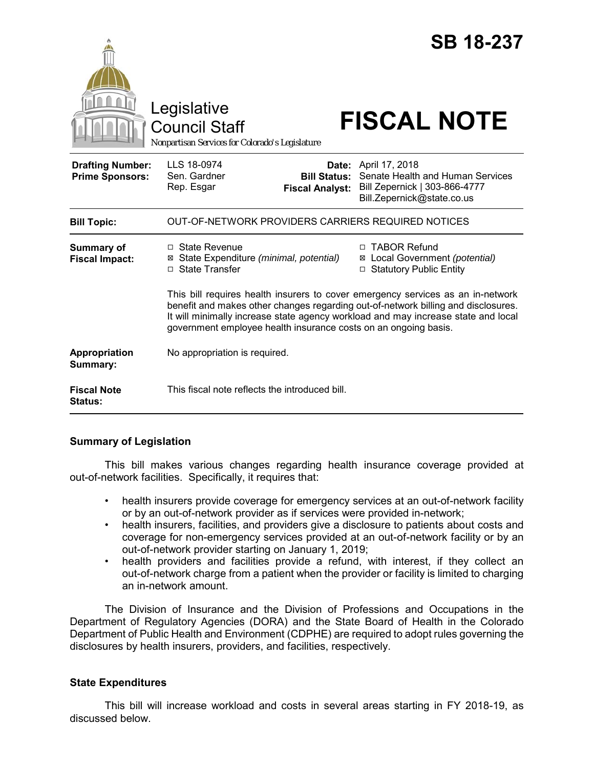|                                                   | Legislative<br><b>Council Staff</b><br>Nonpartisan Services for Colorado's Legislature                                                                                                                                                                                                                                       | <b>SB 18-237</b><br><b>FISCAL NOTE</b>                                                                            |
|---------------------------------------------------|------------------------------------------------------------------------------------------------------------------------------------------------------------------------------------------------------------------------------------------------------------------------------------------------------------------------------|-------------------------------------------------------------------------------------------------------------------|
| <b>Drafting Number:</b><br><b>Prime Sponsors:</b> | LLS 18-0974<br>Date:<br>Sen. Gardner<br><b>Bill Status:</b><br>Rep. Esgar<br><b>Fiscal Analyst:</b>                                                                                                                                                                                                                          | April 17, 2018<br>Senate Health and Human Services<br>Bill Zepernick   303-866-4777<br>Bill.Zepernick@state.co.us |
| <b>Bill Topic:</b>                                | OUT-OF-NETWORK PROVIDERS CARRIERS REQUIRED NOTICES                                                                                                                                                                                                                                                                           |                                                                                                                   |
| <b>Summary of</b><br><b>Fiscal Impact:</b>        | $\Box$ State Revenue<br>⊠ State Expenditure (minimal, potential)<br>□ State Transfer                                                                                                                                                                                                                                         | □ TABOR Refund<br>⊠ Local Government (potential)<br>□ Statutory Public Entity                                     |
|                                                   | This bill requires health insurers to cover emergency services as an in-network<br>benefit and makes other changes regarding out-of-network billing and disclosures.<br>It will minimally increase state agency workload and may increase state and local<br>government employee health insurance costs on an ongoing basis. |                                                                                                                   |
| Appropriation<br>Summary:                         | No appropriation is required.                                                                                                                                                                                                                                                                                                |                                                                                                                   |
| <b>Fiscal Note</b><br><b>Status:</b>              | This fiscal note reflects the introduced bill.                                                                                                                                                                                                                                                                               |                                                                                                                   |

## **Summary of Legislation**

This bill makes various changes regarding health insurance coverage provided at out-of-network facilities. Specifically, it requires that:

- health insurers provide coverage for emergency services at an out-of-network facility or by an out-of-network provider as if services were provided in-network;
- health insurers, facilities, and providers give a disclosure to patients about costs and coverage for non-emergency services provided at an out-of-network facility or by an out-of-network provider starting on January 1, 2019;
- health providers and facilities provide a refund, with interest, if they collect an out-of-network charge from a patient when the provider or facility is limited to charging an in-network amount.

The Division of Insurance and the Division of Professions and Occupations in the Department of Regulatory Agencies (DORA) and the State Board of Health in the Colorado Department of Public Health and Environment (CDPHE) are required to adopt rules governing the disclosures by health insurers, providers, and facilities, respectively.

# **State Expenditures**

This bill will increase workload and costs in several areas starting in FY 2018-19, as discussed below.